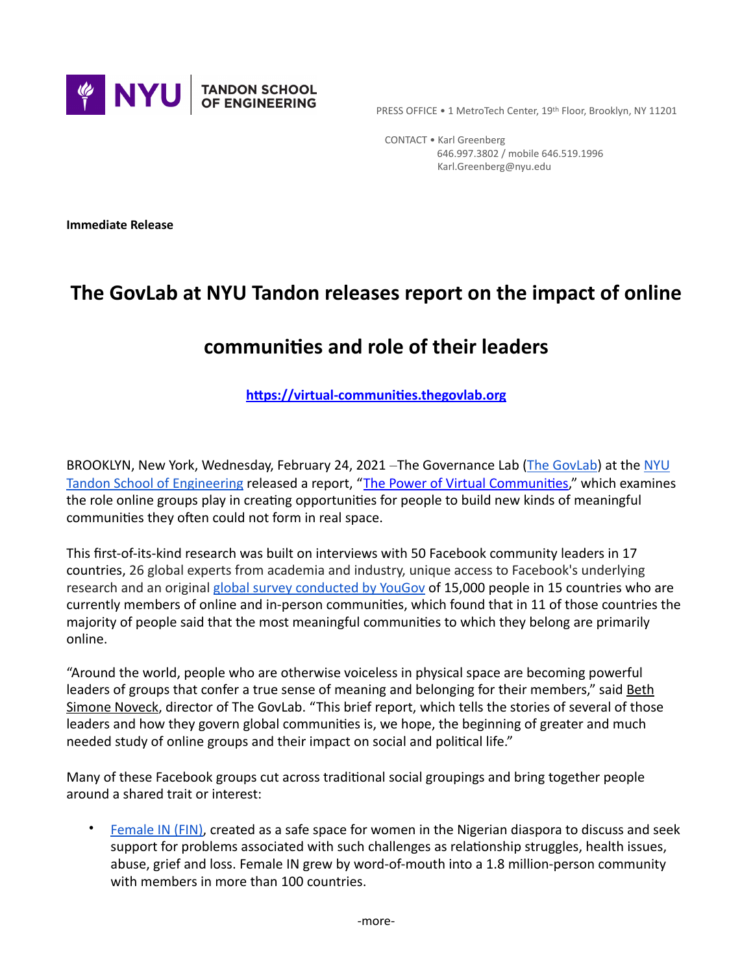

CONTACT . Karl Greenberg 646.997.3802 / mobile 646.519.1996 Karl.Greenberg@nyu.edu

**Immediate Release** 

# The GovLab at NYU Tandon releases report on the impact of online

# **communities and role of their leaders**

#### **<https://virtual-communities.thegovlab.org>**

BROOKLYN, New York, Wednesday, February 24, 2021 -The Governance Lab (The GovLab) at the NYU Tandon School of Engineering released a report, "The Power of Virtual Communities," which examines the role online groups play in creating opportunities for people to build new kinds of meaningful communities they often could not form in real space.

This first-of-its-kind research was built on interviews with 50 Facebook community leaders in 17 countries, 26 global experts from academia and industry, unique access to Facebook's underlying research and an original global survey conducted by YouGov of 15,000 people in 15 countries who are currently members of online and in-person communities, which found that in 11 of those countries the majority of people said that the most meaningful communities to which they belong are primarily online.

"Around the world, people who are otherwise voiceless in physical space are becoming powerful leaders of groups that confer a true sense of meaning and belonging for their members," said Beth Simone Noveck, director of The GovLab. "This brief report, which tells the stories of several of those leaders and how they govern global communities is, we hope, the beginning of greater and much needed study of online groups and their impact on social and political life."

Many of these Facebook groups cut across traditional social groupings and bring together people around a shared trait or interest:

Female IN (FIN), created as a safe space for women in the Nigerian diaspora to discuss and seek support for problems associated with such challenges as relationship struggles, health issues, abuse, grief and loss. Female IN grew by word-of-mouth into a 1.8 million-person community with members in more than 100 countries.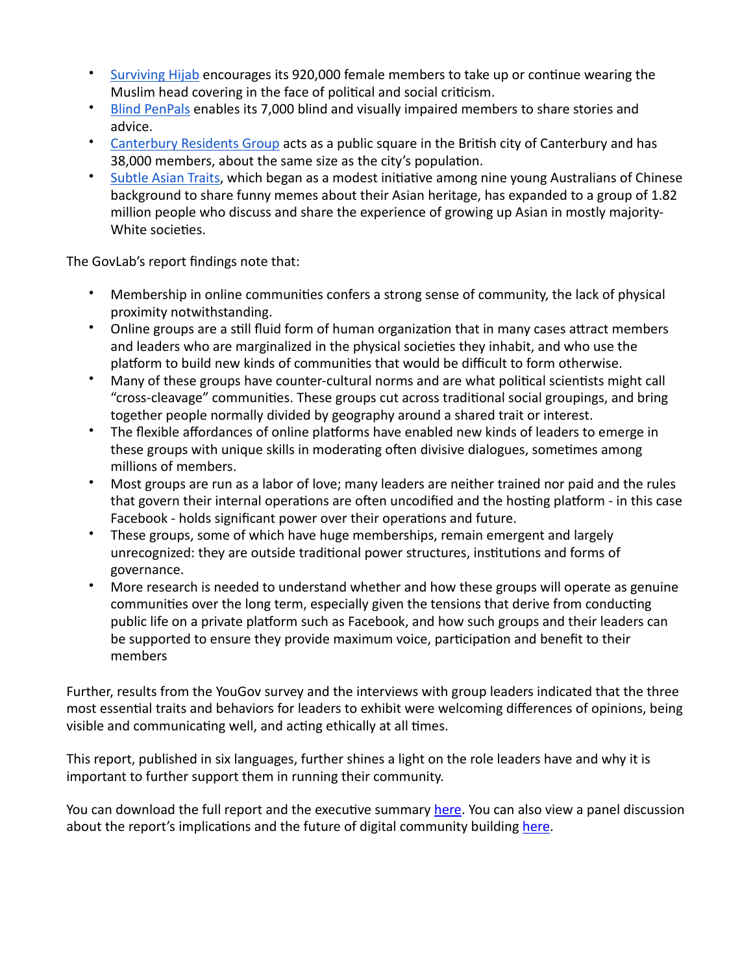- Surviving Hijab encourages its 920,000 female members to take up or continue wearing the Muslim head covering in the face of political and social criticism.
- Blind PenPals enables its 7,000 blind and visually impaired members to share stories and advice.
- Canterbury Residents Group acts as a public square in the British city of Canterbury and has 38,000 members, about the same size as the city's population.
- Subtle Asian Traits, which began as a modest initiative among nine young Australians of Chinese background to share funny memes about their Asian heritage, has expanded to a group of 1.82 million people who discuss and share the experience of growing up Asian in mostly majority-White societies.

The GovLab's report findings note that:

- Membership in online communities confers a strong sense of community, the lack of physical proximity notwithstanding.
- Online groups are a still fluid form of human organization that in many cases attract members and leaders who are marginalized in the physical societies they inhabit, and who use the platform to build new kinds of communities that would be difficult to form otherwise.
- Many of these groups have counter-cultural norms and are what political scientists might call "cross-cleavage" communities. These groups cut across traditional social groupings, and bring together people normally divided by geography around a shared trait or interest.
- The flexible affordances of online platforms have enabled new kinds of leaders to emerge in these groups with unique skills in moderating often divisive dialogues, sometimes among millions of members.
- Most groups are run as a labor of love; many leaders are neither trained nor paid and the rules that govern their internal operations are often uncodified and the hosting platform - in this case Facebook - holds significant power over their operations and future.
- These groups, some of which have huge memberships, remain emergent and largely unrecognized: they are outside traditional power structures, institutions and forms of governance.
- More research is needed to understand whether and how these groups will operate as genuine communities over the long term, especially given the tensions that derive from conducting public life on a private platform such as Facebook, and how such groups and their leaders can be supported to ensure they provide maximum voice, participation and benefit to their members

Further, results from the YouGov survey and the interviews with group leaders indicated that the three most essential traits and behaviors for leaders to exhibit were welcoming differences of opinions, being visible and communicating well, and acting ethically at all times.

This report, published in six languages, further shines a light on the role leaders have and why it is important to further support them in running their community.

You can download the full report and the executive summary here. You can also view a panel discussion about the report's implications and the future of digital community building here.